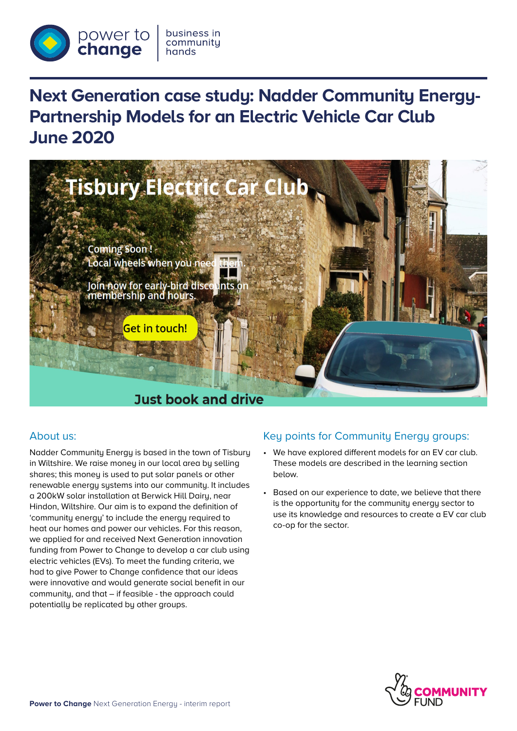

# **Next Generation case study: Nadder Community Energy-Partnership Models for an Electric Vehicle Car Club June 2020**



## About us:

Nadder Community Energy is based in the town of Tisbury in Wiltshire. We raise money in our local area by selling shares; this money is used to put solar panels or other renewable energy systems into our community. It includes a 200kW solar installation at Berwick Hill Dairy, near Hindon, Wiltshire. Our aim is to expand the definition of 'community energy' to include the energy required to heat our homes and power our vehicles. For this reason, we applied for and received Next Generation innovation funding from Power to Change to develop a car club using electric vehicles (EVs). To meet the funding criteria, we had to give Power to Change confidence that our ideas were innovative and would generate social benefit in our community, and that – if feasible - the approach could potentially be replicated by other groups.

# Key points for Community Energy groups:

- We have explored different models for an EV car club. These models are described in the learning section below.
- Based on our experience to date, we believe that there is the opportunity for the community energy sector to use its knowledge and resources to create a EV car club co-op for the sector.

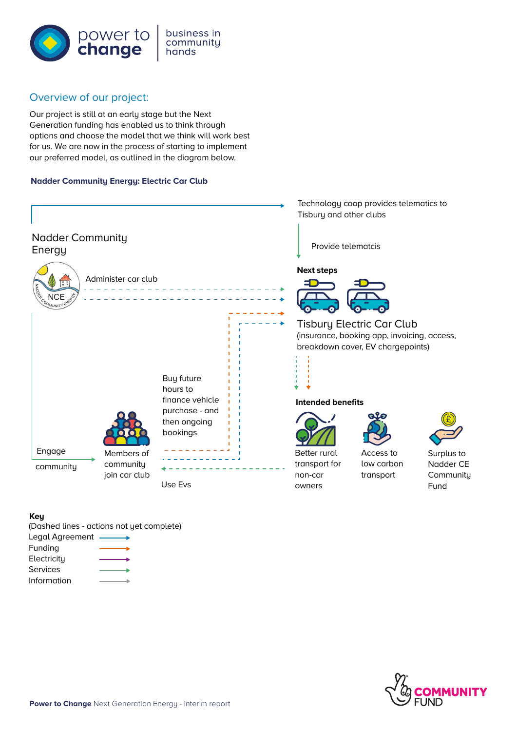

#### business in community hands

## Overview of our project:

Our project is still at an early stage but the Next Generation funding has enabled us to think through options and choose the model that we think will work best for us. We are now in the process of starting to implement our preferred model, as outlined in the diagram below.

## **Nadder Community Energy: Electric Car Club**



#### **Key**

(Dashed lines - actions not yet complete)

| Legal Agreement |  |
|-----------------|--|
| Funding         |  |
| Electricity     |  |
| Services        |  |
| Information     |  |